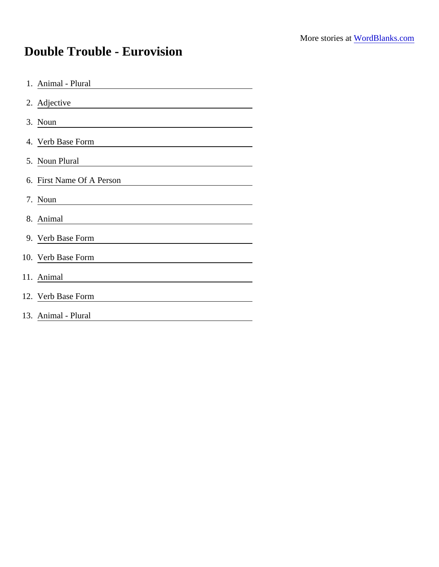## Double Trouble - Eurovision

| 1. Animal - Plural        |
|---------------------------|
| 2. Adjective              |
| 3. Noun                   |
| 4. Verb Base Form         |
| 5. Noun Plural            |
| 6. First Name Of A Person |
| 7. Noun                   |
| 8. Animal                 |
| 9. Verb Base Form         |
| 10. Verb Base Form        |
| 11. Animal                |
| 12. Verb Base Form        |
| 13. Animal - Plural       |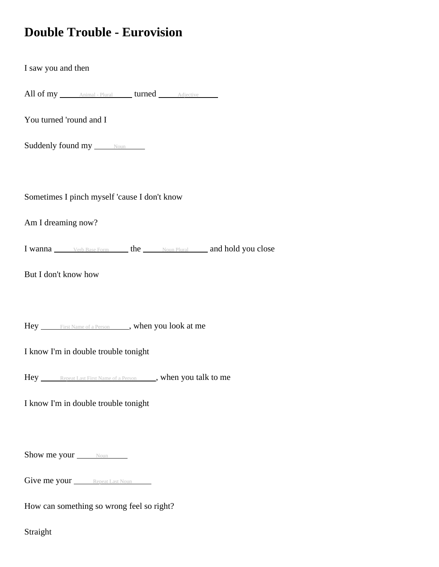## **Double Trouble - Eurovision**

I saw you and then

All of my *Animal - Plural* turned Adjective

You turned 'round and I

Suddenly found my Noun

Sometimes I pinch myself 'cause I don't know

Am I dreaming now?

I wanna Verb Base Form the Noun Plural and hold you close

But I don't know how

Hey First Name of a Person , when you look at me

I know I'm in double trouble tonight

Hey Repeat Last First Name of a Person , when you talk to me

I know I'm in double trouble tonight

Show me your <u>Noun</u>

Give me your Repeat Last Noun

How can something so wrong feel so right?

Straight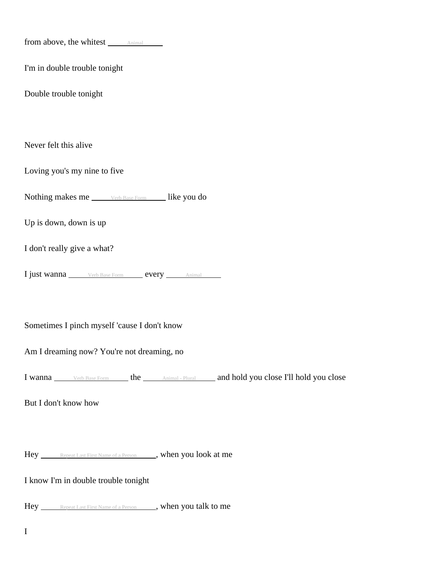| from above, the whitest <i>Animal</i>                                             |
|-----------------------------------------------------------------------------------|
| I'm in double trouble tonight                                                     |
| Double trouble tonight                                                            |
|                                                                                   |
| Never felt this alive                                                             |
| Loving you's my nine to five                                                      |
| Nothing makes me _____ Verb Base Form ______ like you do                          |
| Up is down, down is up                                                            |
| I don't really give a what?                                                       |
| I just wanna _____ Verb Base Form _____ every _____ Animal                        |
|                                                                                   |
| Sometimes I pinch myself 'cause I don't know                                      |
| Am I dreaming now? You're not dreaming, no                                        |
| I wanna verb Base Form the Animal - Plural and hold you close I'll hold you close |
| But I don't know how                                                              |
|                                                                                   |
| Hey Repeat Last First Name of a Person _____, when you look at me                 |
| I know I'm in double trouble tonight                                              |
| Hey ______Repeat Last First Name of a Person _____, when you talk to me           |